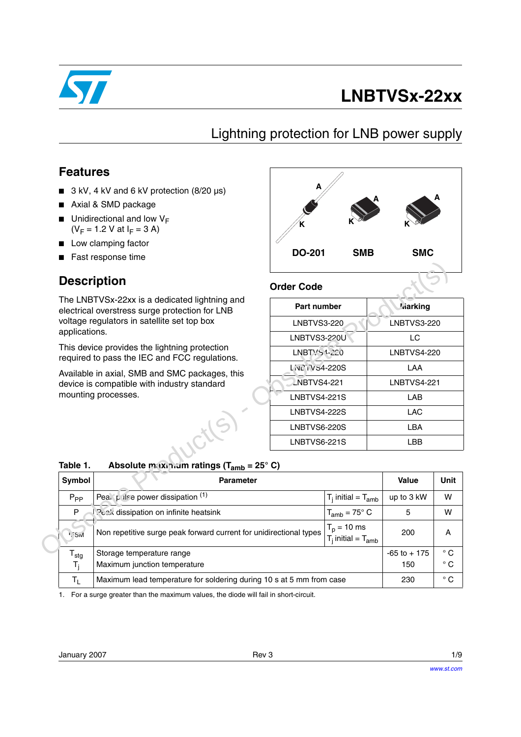

# **LNBTVSx-22xx**

### Lightning protection for LNB power supply

### **Features**

- 3 kV, 4 kV and 6 kV protection (8/20 µs)
- Axial & SMD package
- $\blacksquare$  Unidirectional and low  $V_F$  $(V_F = 1.2 V at I_F = 3 A)$
- Low clamping factor
- Fast response time

### **Description**



#### **Order Code**

| Part number          | <b>Jiarking</b>    |
|----------------------|--------------------|
| <b>LNBTVS3-220</b>   | <b>LNBTVS3-220</b> |
| LNBTVS3-220U         | LC                 |
| LNBTYS 1-220         | <b>LNBTVS4-220</b> |
| <b>L'NCIV54-220S</b> | LAA                |
| <b>LNBTVS4-221</b>   | LNBTVS4-221        |
| <b>LNBTVS4-221S</b>  | LAB                |
| <b>LNBTVS4-222S</b>  | LAC                |
| LNBTVS6-220S         | LBA                |
| LNBTVS6-221S         | l BB               |
|                      |                    |

### **Table 1. Absolute maximum ratings (Tamb = 25° C)**

|                             | <b>Description</b>                                                                              | <b>Order Code</b>                          |                           |                    |              |
|-----------------------------|-------------------------------------------------------------------------------------------------|--------------------------------------------|---------------------------|--------------------|--------------|
|                             | The LNBTVSx-22xx is a dedicated lightning and<br>electrical overstress surge protection for LNB | Part number                                |                           | <b>Viarking</b>    |              |
| applications.               | voltage regulators in satellite set top box                                                     | <b>LNBTVS3-220</b>                         |                           | <b>LNBTVS3-220</b> |              |
|                             |                                                                                                 | <b>LNBTVS3-220U</b>                        |                           | LC                 |              |
|                             | This device provides the lightning protection<br>required to pass the IEC and FCC regulations.  | LNBTVS-1-220                               |                           | <b>LNBTVS4-220</b> |              |
|                             | Available in axial, SMB and SMC packages, this                                                  | L'NC iVS4-220S                             |                           | LAA                |              |
|                             | device is compatible with industry standard                                                     | <b>NBTVS4-221</b>                          |                           | <b>LNBTVS4-221</b> |              |
|                             | mounting processes.                                                                             | <b>LNBTVS4-221S</b>                        |                           | <b>LAB</b>         |              |
|                             |                                                                                                 | <b>LNBTVS4-222S</b>                        |                           | <b>LAC</b>         |              |
|                             |                                                                                                 | LNBTVS6-220S                               |                           | <b>LBA</b>         |              |
|                             |                                                                                                 | <b>LNBTVS6-221S</b>                        |                           | <b>LBB</b>         |              |
| Table 1.                    | Absolute maxinium ratings ( $T_{amb}$ = 25° C)                                                  |                                            |                           |                    |              |
| Symbol                      | <b>Parameter</b>                                                                                |                                            |                           | <b>Value</b>       | <b>Unit</b>  |
| $P_{PP}$                    | Pea. pulse power dissipation (1)                                                                |                                            | $T_i$ initial = $T_{amb}$ | up to 3 kW         | W            |
| P                           | Peak dissipation on infinite heatsink                                                           |                                            | $T_{amb} = 75^{\circ}$ C  | 5                  | W            |
| <b>I</b> <sub>I</sub> SM    | Non repetitive surge peak forward current for unidirectional types                              | $T_p = 10$ ms<br>$T_i$ initial = $T_{amb}$ | 200                       | A                  |              |
| $\mathsf{T}_{\mathsf{stg}}$ | Storage temperature range                                                                       |                                            |                           | $-65$ to $+175$    | $^{\circ}$ C |
| $T_i$                       | Maximum junction temperature                                                                    |                                            |                           | 150                | $^{\circ}$ C |
| $T_{L}$                     | Maximum lead temperature for soldering during 10 s at 5 mm from case                            |                                            |                           | 230                | $^{\circ}$ C |

1. For a surge greater than the maximum values, the diode will fail in short-circuit.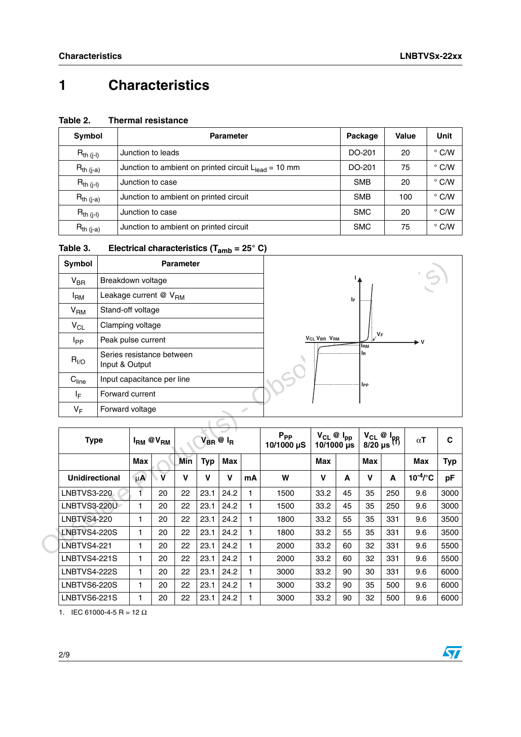### **1 Characteristics**

#### **Table 2. Thermal resistance**

| Symbol         | <b>Parameter</b>                                          | Package    | <b>Value</b> | Unit          |
|----------------|-----------------------------------------------------------|------------|--------------|---------------|
| $R_{th (j-l)}$ | Junction to leads                                         | DO-201     | 20           | $\degree$ C/W |
| $R_{th (j-a)}$ | Junction to ambient on printed circuit $L_{lead} = 10$ mm | DO-201     | 75           | $\degree$ C/W |
| $R_{th (j-l)}$ | Junction to case                                          | <b>SMB</b> | 20           | $\degree$ C/W |
| $R_{th (j-a)}$ | Junction to ambient on printed circuit                    | <b>SMB</b> | 100          | $\degree$ C/W |
| $R_{th (j-l)}$ | Junction to case                                          | <b>SMC</b> | 20           | $\degree$ C/W |
| $R_{th (j-a)}$ | Junction to ambient on printed circuit                    | <b>SMC</b> | 75           | $\degree$ C/W |

| Table 3. | Electrical characteristics ( $T_{amb}$ = 25° C) |  |
|----------|-------------------------------------------------|--|
|----------|-------------------------------------------------|--|

| Symbol            | <b>Parameter</b>                            |  |
|-------------------|---------------------------------------------|--|
| $V_{\text{BR}}$   | Breakdown voltage                           |  |
| l <sub>RM</sub>   | Leakage current $@V_{BM}$                   |  |
| V <sub>RM</sub>   | Stand-off voltage                           |  |
| $V_{CL}$          | Clamping voltage                            |  |
| I <sub>PP</sub>   | Peak pulse current                          |  |
| $R_{I/O}$         | Series resistance between<br>Input & Output |  |
| C <sub>line</sub> | Input capacitance per line                  |  |
| ΙF                | Forward current                             |  |
| ۷ <sub>F</sub>    | Forward voltage                             |  |



| Symbol                     |                                             |              |                         | <b>Parameter</b> |                  |              |    |                        |                                     |     |                     |                                         |                          |            |  |
|----------------------------|---------------------------------------------|--------------|-------------------------|------------------|------------------|--------------|----|------------------------|-------------------------------------|-----|---------------------|-----------------------------------------|--------------------------|------------|--|
| $V_{\text{BR}}$            | Breakdown voltage                           |              |                         |                  |                  |              |    |                        |                                     |     |                     |                                         |                          |            |  |
| $I_{\rm RM}$               | Leakage current @ V <sub>RM</sub>           |              |                         |                  |                  |              |    |                        |                                     | IF. |                     |                                         |                          |            |  |
| V <sub>RM</sub>            | Stand-off voltage                           |              |                         |                  |                  |              |    |                        |                                     |     |                     |                                         |                          |            |  |
| $V_{CL}$                   | Clamping voltage                            |              |                         |                  |                  |              |    |                        |                                     |     |                     |                                         |                          |            |  |
| I <sub>PP</sub>            | Peak pulse current                          |              |                         |                  |                  |              |    |                        | <b>VCL VBR VRM</b>                  |     | $V_F$<br><b>IRM</b> |                                         | ► V                      |            |  |
| $R_{I/O}$                  | Series resistance between<br>Input & Output |              |                         |                  |                  |              |    |                        |                                     |     | lR.                 |                                         |                          |            |  |
| $\mathrm{C}_{\text{line}}$ | Input capacitance per line                  |              |                         |                  |                  |              |    |                        |                                     |     | <b>IPP</b>          |                                         |                          |            |  |
| IF.                        | Forward current                             |              |                         |                  |                  |              |    |                        |                                     |     |                     |                                         |                          |            |  |
| $V_F$                      | Forward voltage                             |              |                         |                  |                  |              |    |                        |                                     |     |                     |                                         |                          |            |  |
|                            |                                             |              |                         |                  |                  |              |    |                        |                                     |     |                     |                                         |                          |            |  |
| <b>Type</b>                |                                             |              | $I_{RM}$ @ $V_{RM}$     |                  | $V_{BR}$ @ $I_R$ |              |    | $P_{PP}$<br>10/1000 µS | $V_{CL}$ @ $I_{pp}$<br>$10/1000$ us |     |                     | $V_{CL}$ @ $I_{pp}$<br>8/20 µs $^{(1)}$ | $\alpha\mathsf{T}$       | C          |  |
|                            |                                             | <b>Max</b>   |                         | Min              | <b>Typ</b>       | <b>Max</b>   |    |                        | <b>Max</b>                          |     | <b>Max</b>          |                                         | <b>Max</b>               | <b>Typ</b> |  |
| <b>Unidirectional</b>      |                                             | $\mu$ A      | $\overline{\mathbf{V}}$ | V                | $\mathbf v$      | v            | mA | W                      | $\mathbf v$                         | A   | $\mathbf v$         | A                                       | $10^{-4}$ / $^{\circ}$ C | pF         |  |
| <b>LNBTVS3-220</b>         |                                             | Ť            | 20                      | 22               | 23.1             | 24.2         | 1  | 1500                   | 33.2                                | 45  | 35                  | 250                                     | 9.6                      | 3000       |  |
| LNBTVS3-220U               |                                             | $\mathbf{1}$ | 20                      | 22               | 23.1             | 24.2         | 1  | 1500                   | 33.2                                | 45  | 35                  | 250                                     | 9.6                      | 3000       |  |
| <b>LNBTVS4-220</b>         |                                             | 1            | 20                      | 22               | 23.1             | 24.2         | 1  | 1800                   | 33.2                                | 55  | 35                  | 331                                     | 9.6                      | 3500       |  |
| <b>LNBTVS4-220S</b>        |                                             | $\mathbf{1}$ | 20                      | 22               | 23.1             | 24.2         | 1  | 1800                   | 33.2                                | 55  | 35                  | 331                                     | 9.6                      | 3500       |  |
| <b>LNBTVS4-221</b>         |                                             | $\mathbf{1}$ | 20                      | 22               | 23.1             | 24.2         | 1  | 2000                   | 33.2                                | 60  | 32                  | 331                                     | 9.6                      | 5500       |  |
| <b>LNBTVS4-221S</b>        |                                             | $\mathbf{1}$ | 20                      | 22               | 23.1             | 24.2         | 1  | 2000                   | 33.2                                | 60  | 32                  | 331                                     | 9.6                      | 5500       |  |
|                            |                                             |              |                         |                  |                  |              |    |                        | 33.2                                | 90  | 30                  | 331                                     |                          | 6000       |  |
| <b>LNBTVS4-222S</b>        |                                             | 1            | 20                      | 22               | 23.1             | 24.2         | 1  | 3000                   |                                     |     |                     |                                         | 9.6                      |            |  |
| <b>LNBTVS6-220S</b>        |                                             | $\mathbf{1}$ | 20                      | 22               | 23.1<br>23.1     | 24.2<br>24.2 | 1  | 3000                   | 33.2<br>33.2                        | 90  | 35                  | 500                                     | 9.6                      | 6000       |  |

1. IEC 61000-4-5 R = 12  $\Omega$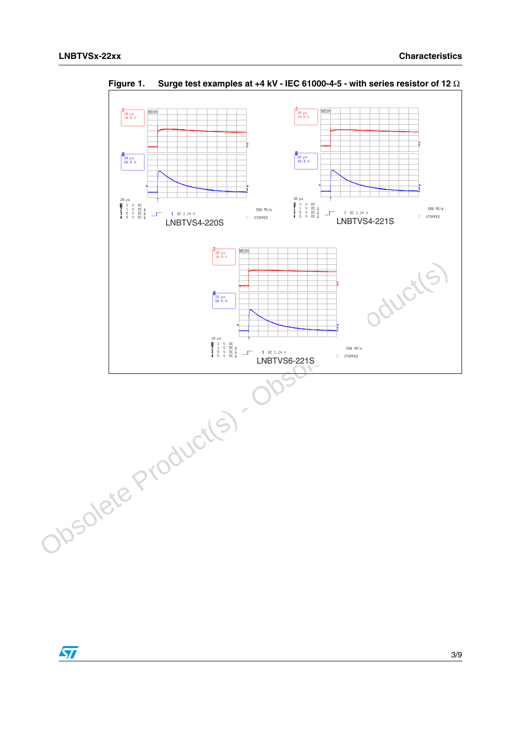

**Figure 1. Surge test examples at +4 kV - IEC 61000-4-5 - with series resistor of 12** Ω

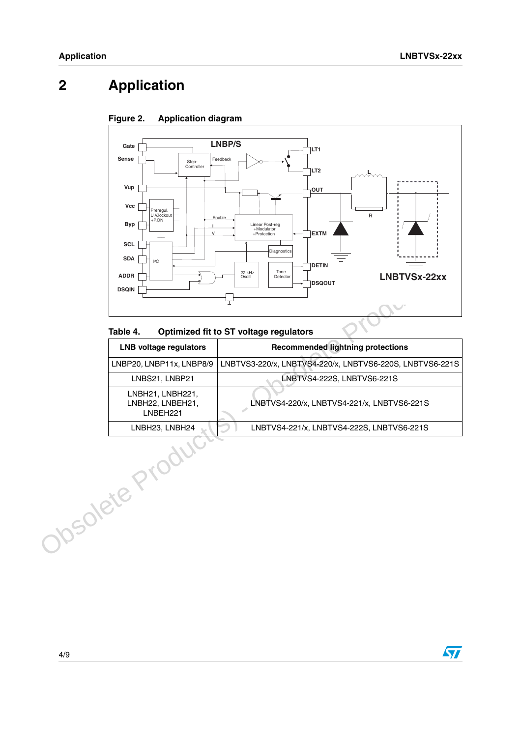### **2 Application**





#### **Table 4. Optimized fit to ST voltage regulators**

| ${}^{12}C$<br><b>ADDR</b><br><b>DSQIN</b><br>Table 4. | <b>DETIN</b><br>Tone<br>22 kHz<br>LNBTVSx-22xx<br>Detector<br>Oscill<br><b>DSQOUT</b><br>⊤<br>Optimized fit to ST voltage regulators |
|-------------------------------------------------------|--------------------------------------------------------------------------------------------------------------------------------------|
| <b>LNB voltage regulators</b>                         | <b>Recommended lightning protections</b>                                                                                             |
| LNBP20, LNBP11x, LNBP8/9                              | LNBTVS3-220/x, LNBTVS4-220/x, LNBTVS6-220S, LNBTVS6-221S                                                                             |
| LNBS21, LNBP21                                        | LNBTVS4-222S, LNBTVS6-221S                                                                                                           |
| LNBH21, LNBH221,<br>LNBH22, LNBEH21,<br>LNBEH221      | LNBTVS4-220/x, LNBTVS4-221/x, LNBTVS6-221S                                                                                           |
| LNBH23, LNBH24                                        | LNBTVS4-221/x, LNBTVS4-222S, LNBTVS6-221S                                                                                            |
| <b>SOlete</b> P                                       |                                                                                                                                      |

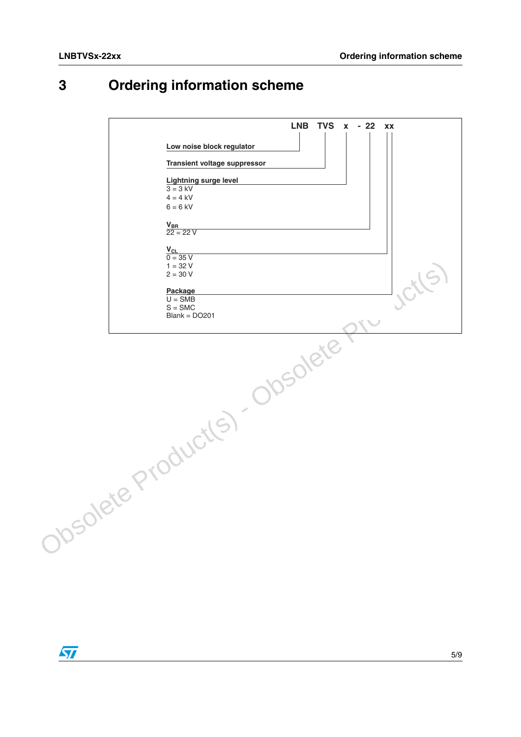### **3 Ordering information scheme**



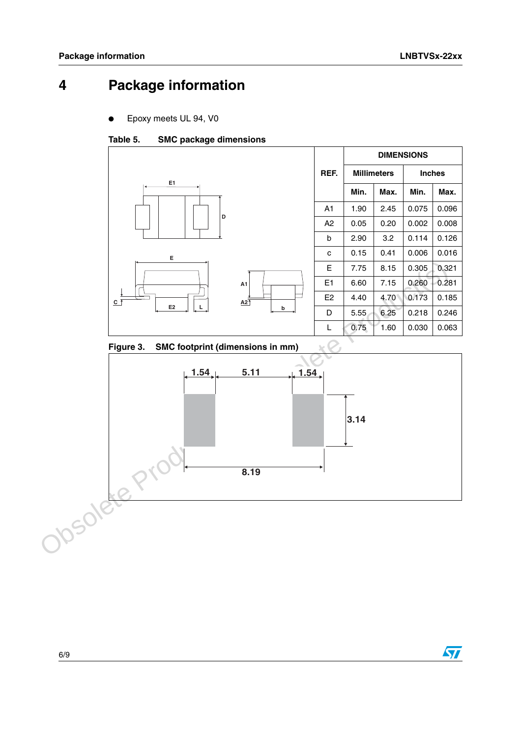### **4 Package information**

Epoxy meets UL 94, V0

#### Table 5. **SMC package dimensions**



#### **SMC footprint (dimensions in mm)**



 $\sqrt{2}$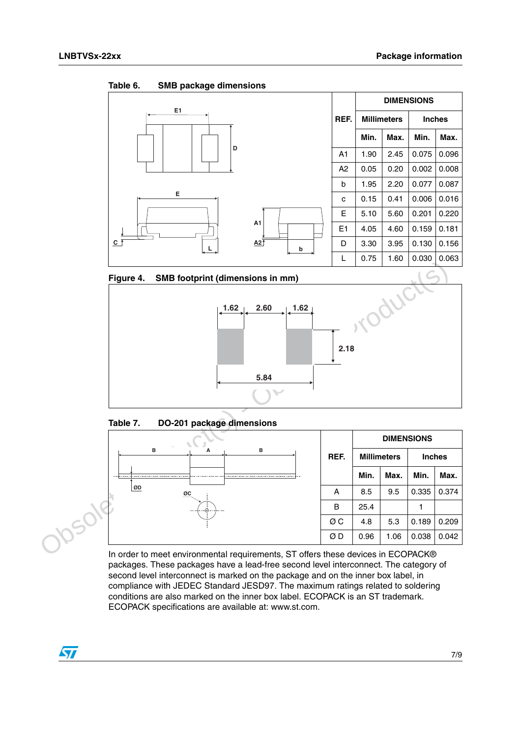Table 6. **SMB package dimensions** 



**Figure 4. SMB footprint (dimensions in mm)**



Table 7. **Table 7. DO-201 package dimensions**

|             |      | <b>DIMENSIONS</b> |                    |               |       |  |
|-------------|------|-------------------|--------------------|---------------|-------|--|
| B<br>в<br>А | REF. |                   | <b>Millimeters</b> | <b>Inches</b> |       |  |
|             |      | Min.              | Max.               | Min.          | Max.  |  |
| ØD<br>ØC    | A    | 8.5               | 9.5                | 0.335         | 0.374 |  |
|             | B    | 25.4              |                    |               |       |  |
|             | ØС   | 4.8               | 5.3                | 0.189         | 0.209 |  |
|             | ØΒ   | 0.96              | 1.06               | 0.038         | 0.042 |  |

In order to meet environmental requirements, ST offers these devices in ECOPACK® packages. These packages have a lead-free second level interconnect. The category of second level interconnect is marked on the package and on the inner box label, in compliance with JEDEC Standard JESD97. The maximum ratings related to soldering conditions are also marked on the inner box label. ECOPACK is an ST trademark. ECOPACK specifications are available at: www.st.com.

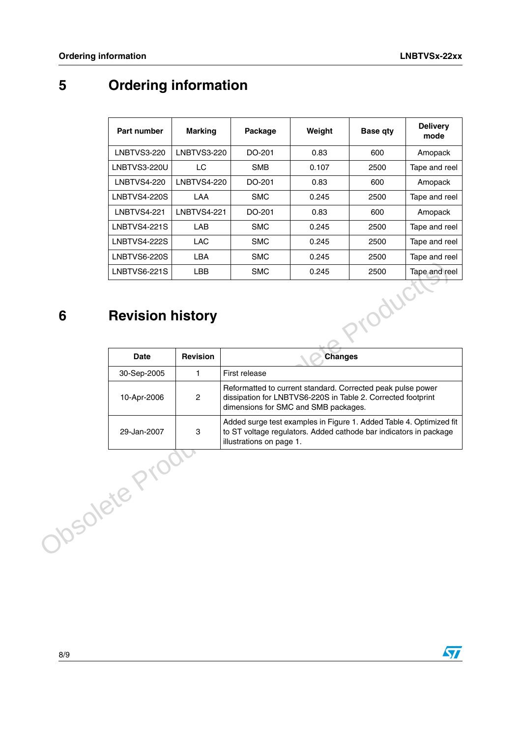## **5 Ordering information**

| Part number                       | <b>Marking</b>     | Package    | Weight  | <b>Base qty</b> | <b>Delivery</b><br>mode |  |  |  |
|-----------------------------------|--------------------|------------|---------|-----------------|-------------------------|--|--|--|
| <b>LNBTVS3-220</b>                | LNBTVS3-220        | DO-201     | 0.83    | 600             | Amopack                 |  |  |  |
| LNBTVS3-220U                      | LC                 | <b>SMB</b> | 0.107   | 2500            | Tape and reel           |  |  |  |
| <b>LNBTVS4-220</b>                | <b>LNBTVS4-220</b> | DO-201     | 0.83    | 600             | Amopack                 |  |  |  |
| LNBTVS4-220S                      | <b>LAA</b>         | <b>SMC</b> | 0.245   | 2500            | Tape and reel           |  |  |  |
| LNBTVS4-221                       | LNBTVS4-221        | DO-201     | 0.83    | 600             | Amopack                 |  |  |  |
| <b>LNBTVS4-221S</b>               | LAB                | <b>SMC</b> | 0.245   | 2500            | Tape and reel           |  |  |  |
| <b>LNBTVS4-222S</b>               | <b>LAC</b>         | <b>SMC</b> | 0.245   | 2500            | Tape and reel           |  |  |  |
| LNBTVS6-220S                      | <b>LBA</b>         | <b>SMC</b> | 0.245   | 2500            | Tape and reel           |  |  |  |
| LNBTVS6-221S                      | LBB                | <b>SMC</b> | 0.245   | 2500            | Tape and reel           |  |  |  |
| ·Oduct<br><b>Revision history</b> |                    |            |         |                 |                         |  |  |  |
| <b>Dota</b>                       | <b>Dovicion</b>    |            | Chananc |                 |                         |  |  |  |

### **6 Revision history**

|                | <b>LNBTVS6-221S</b>     | <b>LBB</b>      | <b>SMC</b>                                                                                                                                                           | 0.245          | 2500 | Tape and reel |  |  |
|----------------|-------------------------|-----------------|----------------------------------------------------------------------------------------------------------------------------------------------------------------------|----------------|------|---------------|--|--|
| 6              | <b>Revision history</b> |                 |                                                                                                                                                                      |                | WC   |               |  |  |
|                | <b>Date</b>             | <b>Revision</b> |                                                                                                                                                                      | <b>Changes</b> |      |               |  |  |
|                | 30-Sep-2005             | 1.              | First release                                                                                                                                                        |                |      |               |  |  |
|                | 10-Apr-2006             | $\overline{2}$  | Reformatted to current standard. Corrected peak pulse power<br>dissipation for LNBTVS6-220S in Table 2. Corrected footprint<br>dimensions for SMC and SMB packages.  |                |      |               |  |  |
|                | 29-Jan-2007             | 3               | Added surge test examples in Figure 1. Added Table 4. Optimized fit<br>to ST voltage regulators. Added cathode bar indicators in package<br>illustrations on page 1. |                |      |               |  |  |
| <b>soleter</b> |                         |                 |                                                                                                                                                                      |                |      |               |  |  |